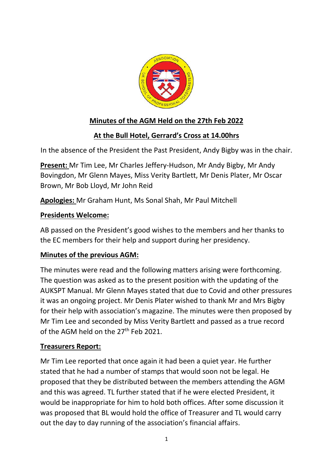

# **Minutes of the AGM Held on the 27th Feb 2022**

## **At the Bull Hotel, Gerrard's Cross at 14.00hrs**

In the absence of the President the Past President, Andy Bigby was in the chair.

**Present:** Mr Tim Lee, Mr Charles Jeffery-Hudson, Mr Andy Bigby, Mr Andy Bovingdon, Mr Glenn Mayes, Miss Verity Bartlett, Mr Denis Plater, Mr Oscar Brown, Mr Bob Lloyd, Mr John Reid

**Apologies:** Mr Graham Hunt, Ms Sonal Shah, Mr Paul Mitchell

### **Presidents Welcome:**

AB passed on the President's good wishes to the members and her thanks to the EC members for their help and support during her presidency.

### **Minutes of the previous AGM:**

The minutes were read and the following matters arising were forthcoming. The question was asked as to the present position with the updating of the AUKSPT Manual. Mr Glenn Mayes stated that due to Covid and other pressures it was an ongoing project. Mr Denis Plater wished to thank Mr and Mrs Bigby for their help with association's magazine. The minutes were then proposed by Mr Tim Lee and seconded by Miss Verity Bartlett and passed as a true record of the AGM held on the  $27<sup>th</sup>$  Feb 2021.

#### **Treasurers Report:**

Mr Tim Lee reported that once again it had been a quiet year. He further stated that he had a number of stamps that would soon not be legal. He proposed that they be distributed between the members attending the AGM and this was agreed. TL further stated that if he were elected President, it would be inappropriate for him to hold both offices. After some discussion it was proposed that BL would hold the office of Treasurer and TL would carry out the day to day running of the association's financial affairs.